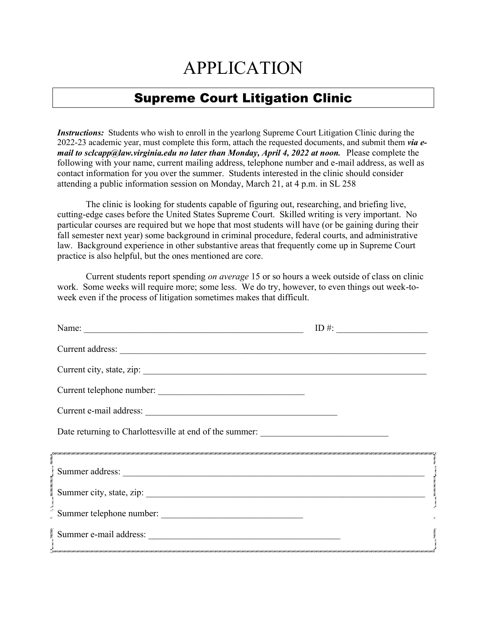## APPLICATION

## Supreme Court Litigation Clinic

*Instructions:* Students who wish to enroll in the yearlong Supreme Court Litigation Clinic during the 2022-23 academic year, must complete this form, attach the requested documents, and submit them *via email to sclcapp@law.virginia.edu no later than Monday, April 4, 2022 at noon.* Please complete the following with your name, current mailing address, telephone number and e-mail address, as well as contact information for you over the summer. Students interested in the clinic should consider attending a public information session on Monday, March 21, at 4 p.m. in SL 258

The clinic is looking for students capable of figuring out, researching, and briefing live, cutting-edge cases before the United States Supreme Court. Skilled writing is very important. No particular courses are required but we hope that most students will have (or be gaining during their fall semester next year) some background in criminal procedure, federal courts, and administrative law. Background experience in other substantive areas that frequently come up in Supreme Court practice is also helpful, but the ones mentioned are core.

Current students report spending *on average* 15 or so hours a week outside of class on clinic work. Some weeks will require more; some less. We do try, however, to even things out week-toweek even if the process of litigation sometimes makes that difficult.

| Name:                                                                             | ID #: $\qquad \qquad$ |
|-----------------------------------------------------------------------------------|-----------------------|
|                                                                                   |                       |
|                                                                                   |                       |
| Current telephone number:                                                         |                       |
|                                                                                   |                       |
| Date returning to Charlottesville at end of the summer: _________________________ |                       |
|                                                                                   |                       |
|                                                                                   |                       |
|                                                                                   |                       |
| Summer telephone number:                                                          |                       |
|                                                                                   |                       |
|                                                                                   |                       |